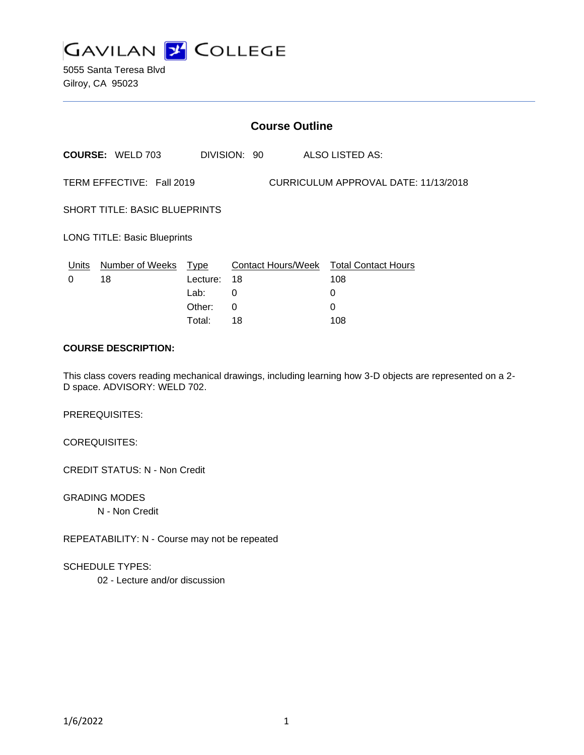

5055 Santa Teresa Blvd Gilroy, CA 95023

| <b>Course Outline</b>                                             |                         |          |              |                                        |
|-------------------------------------------------------------------|-------------------------|----------|--------------|----------------------------------------|
|                                                                   | <b>COURSE: WELD 703</b> |          | DIVISION: 90 | ALSO LISTED AS:                        |
| CURRICULUM APPROVAL DATE: 11/13/2018<br>TERM EFFECTIVE: Fall 2019 |                         |          |              |                                        |
| <b>SHORT TITLE: BASIC BLUEPRINTS</b>                              |                         |          |              |                                        |
| <b>LONG TITLE: Basic Blueprints</b>                               |                         |          |              |                                        |
| Units                                                             | Number of Weeks Type    |          |              | Contact Hours/Week Total Contact Hours |
| $\Omega$                                                          | 18                      | Lecture: | 18           | 108                                    |
|                                                                   |                         | Lab:     | 0            | 0                                      |
|                                                                   |                         | Other:   | $\Omega$     | 0                                      |
|                                                                   |                         | Total:   | 18           | 108                                    |

#### **COURSE DESCRIPTION:**

This class covers reading mechanical drawings, including learning how 3-D objects are represented on a 2- D space. ADVISORY: WELD 702.

PREREQUISITES:

COREQUISITES:

CREDIT STATUS: N - Non Credit

GRADING MODES N - Non Credit

REPEATABILITY: N - Course may not be repeated

SCHEDULE TYPES:

02 - Lecture and/or discussion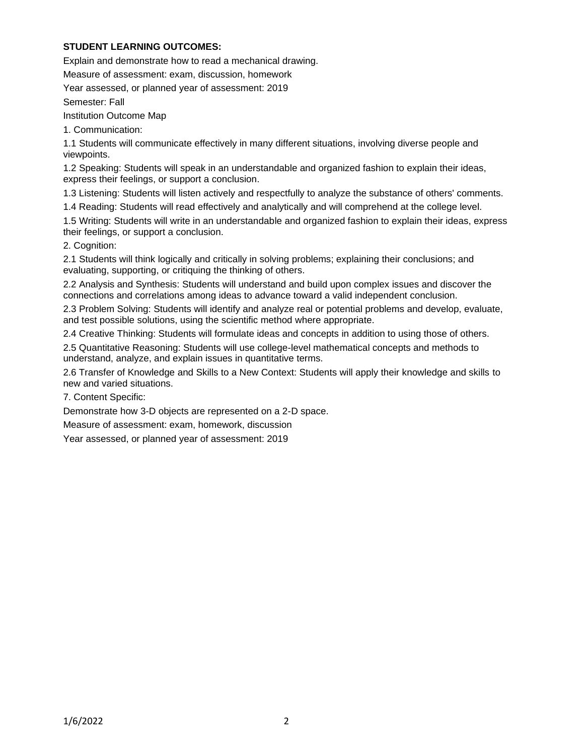## **STUDENT LEARNING OUTCOMES:**

Explain and demonstrate how to read a mechanical drawing.

Measure of assessment: exam, discussion, homework

Year assessed, or planned year of assessment: 2019

Semester: Fall

Institution Outcome Map

1. Communication:

1.1 Students will communicate effectively in many different situations, involving diverse people and viewpoints.

1.2 Speaking: Students will speak in an understandable and organized fashion to explain their ideas, express their feelings, or support a conclusion.

1.3 Listening: Students will listen actively and respectfully to analyze the substance of others' comments.

1.4 Reading: Students will read effectively and analytically and will comprehend at the college level.

1.5 Writing: Students will write in an understandable and organized fashion to explain their ideas, express their feelings, or support a conclusion.

2. Cognition:

2.1 Students will think logically and critically in solving problems; explaining their conclusions; and evaluating, supporting, or critiquing the thinking of others.

2.2 Analysis and Synthesis: Students will understand and build upon complex issues and discover the connections and correlations among ideas to advance toward a valid independent conclusion.

2.3 Problem Solving: Students will identify and analyze real or potential problems and develop, evaluate, and test possible solutions, using the scientific method where appropriate.

2.4 Creative Thinking: Students will formulate ideas and concepts in addition to using those of others.

2.5 Quantitative Reasoning: Students will use college-level mathematical concepts and methods to understand, analyze, and explain issues in quantitative terms.

2.6 Transfer of Knowledge and Skills to a New Context: Students will apply their knowledge and skills to new and varied situations.

7. Content Specific:

Demonstrate how 3-D objects are represented on a 2-D space.

Measure of assessment: exam, homework, discussion

Year assessed, or planned year of assessment: 2019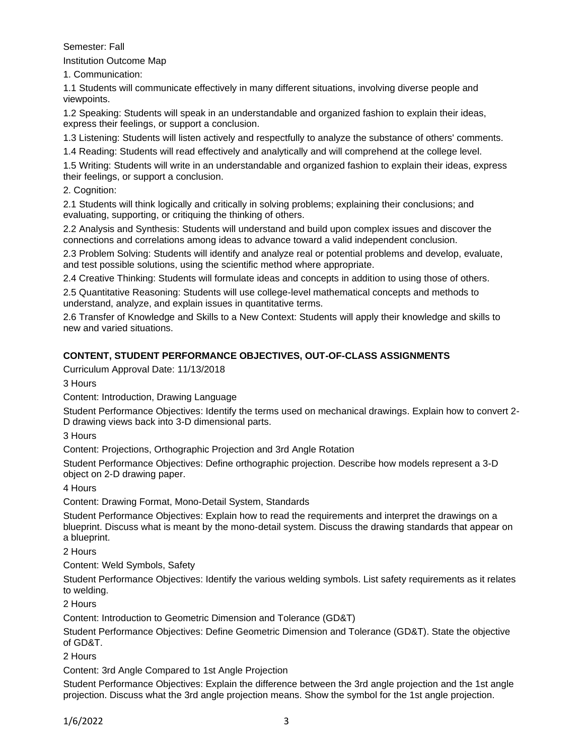## Semester: Fall

Institution Outcome Map

1. Communication:

1.1 Students will communicate effectively in many different situations, involving diverse people and viewpoints.

1.2 Speaking: Students will speak in an understandable and organized fashion to explain their ideas, express their feelings, or support a conclusion.

1.3 Listening: Students will listen actively and respectfully to analyze the substance of others' comments.

1.4 Reading: Students will read effectively and analytically and will comprehend at the college level.

1.5 Writing: Students will write in an understandable and organized fashion to explain their ideas, express their feelings, or support a conclusion.

2. Cognition:

2.1 Students will think logically and critically in solving problems; explaining their conclusions; and evaluating, supporting, or critiquing the thinking of others.

2.2 Analysis and Synthesis: Students will understand and build upon complex issues and discover the connections and correlations among ideas to advance toward a valid independent conclusion.

2.3 Problem Solving: Students will identify and analyze real or potential problems and develop, evaluate, and test possible solutions, using the scientific method where appropriate.

2.4 Creative Thinking: Students will formulate ideas and concepts in addition to using those of others.

2.5 Quantitative Reasoning: Students will use college-level mathematical concepts and methods to understand, analyze, and explain issues in quantitative terms.

2.6 Transfer of Knowledge and Skills to a New Context: Students will apply their knowledge and skills to new and varied situations.

# **CONTENT, STUDENT PERFORMANCE OBJECTIVES, OUT-OF-CLASS ASSIGNMENTS**

Curriculum Approval Date: 11/13/2018

3 Hours

Content: Introduction, Drawing Language

Student Performance Objectives: Identify the terms used on mechanical drawings. Explain how to convert 2- D drawing views back into 3-D dimensional parts.

3 Hours

Content: Projections, Orthographic Projection and 3rd Angle Rotation

Student Performance Objectives: Define orthographic projection. Describe how models represent a 3-D object on 2-D drawing paper.

4 Hours

Content: Drawing Format, Mono-Detail System, Standards

Student Performance Objectives: Explain how to read the requirements and interpret the drawings on a blueprint. Discuss what is meant by the mono-detail system. Discuss the drawing standards that appear on a blueprint.

2 Hours

Content: Weld Symbols, Safety

Student Performance Objectives: Identify the various welding symbols. List safety requirements as it relates to welding.

2 Hours

Content: Introduction to Geometric Dimension and Tolerance (GD&T)

Student Performance Objectives: Define Geometric Dimension and Tolerance (GD&T). State the objective of GD&T.

2 Hours

Content: 3rd Angle Compared to 1st Angle Projection

Student Performance Objectives: Explain the difference between the 3rd angle projection and the 1st angle projection. Discuss what the 3rd angle projection means. Show the symbol for the 1st angle projection.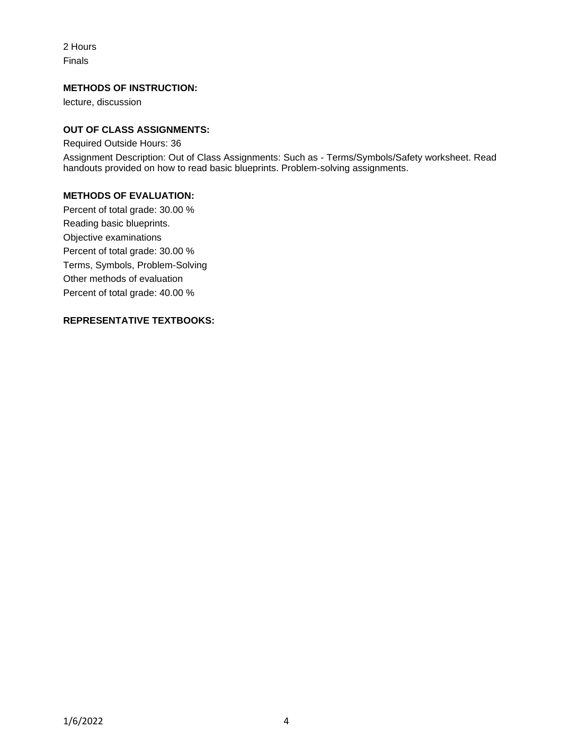2 Hours Finals

#### **METHODS OF INSTRUCTION:**

lecture, discussion

## **OUT OF CLASS ASSIGNMENTS:**

Required Outside Hours: 36

Assignment Description: Out of Class Assignments: Such as - Terms/Symbols/Safety worksheet. Read handouts provided on how to read basic blueprints. Problem-solving assignments.

## **METHODS OF EVALUATION:**

Percent of total grade: 30.00 % Reading basic blueprints. Objective examinations Percent of total grade: 30.00 % Terms, Symbols, Problem-Solving Other methods of evaluation Percent of total grade: 40.00 %

#### **REPRESENTATIVE TEXTBOOKS:**